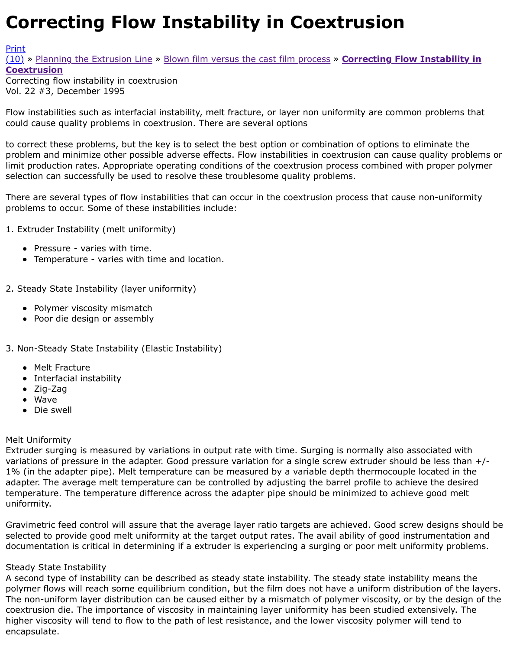#### Vol. 22 #3, December 1995

Flow instabilities such as interfacial instability, melt fracture, or layer non uniformity are common pro could cause quality problems in coextrusion. There are several options

[to co](http://extrusionwiki.com/wiki/CC-V22-3-C.ashx#)rr[ect these problems, but the](http://extrusionwiki.com/wiki/CC-V22-3-A.ashx) k[ey is to select the best option or combin](http://extrusionwiki.com/wiki/CC-V22-3-B.ashx)ation of options to elimi problem and minimize other possible adverse effects. Flow instabilities in coextrusion can cause qua limit production rates. Appropriate operating conditions of the coextrusion process combined with po selection can successfully be used to resolve these troublesome quality problems.

There are several types of flow instabilities that can occur in the coextrusion process that cause nor problems to occur. Some of these instabilities include:

1. Extruder Instability (melt uniformity)

- Pressure varies with time.
- Temperature varies with time and location.
- 2. Steady State Instability (layer uniformity)
	- Polymer viscosity mismatch
	- Poor die design or assembly
- 3. Non-Steady State Instability (Elastic Instability)
	- Melt Fracture
	- Interfacial instability
	- Zig-Zag
	- Wave
	- Die swell

# Melt Uniformity

Extruder surging is measured by variations in output rate with time. Surging is normally also associ variations of pressure in the adapter. Good pressure variation for a single screw extruder should be 1% (in the adapter pipe). Melt temperature can be measured by a variable depth thermocouple located in the in adapter. The average melt temperature can be controlled by adjusting the barrel profile to achieve t temperature. The temperature difference across the adapter pipe should be minimized to achieve go uniformity.

Gravimetric feed control will assure that the average layer ratio targets are achieved. Good screw de selected to provide good melt uniformity at the target output rates. The avail ability of good instrun documentation is critical in determining if a extruder is experiencing a surging or poor melt uniform

# Steady State Instability

A second type of instability can be described as steady state instability. The steady state instability polymer flows will reach some equilibrium condition, but the film does not have a uniform distribution The non-uniform layer distribution can be caused either by a mismatch of polymer viscosity, or by t coextrusion die. The importance of viscosity in maintaining layer uniformity has been studied extens higher viscosity will tend to flow to the path of lest resistance, and the lower viscosity polymer will t encapsulate.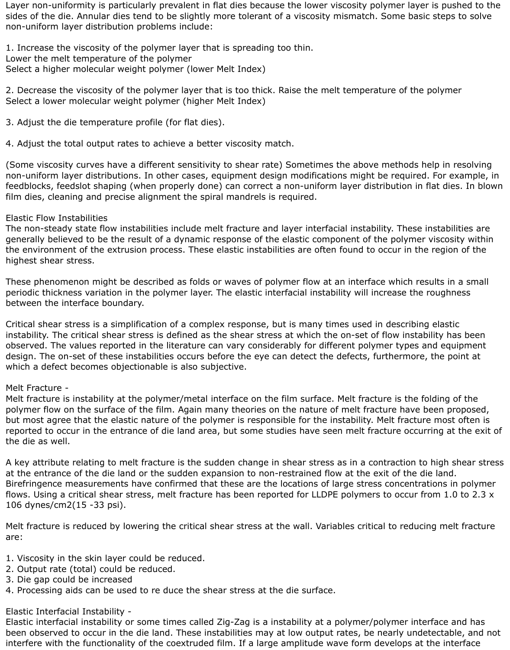Layer non-uniformity is particularly prevalent in flat dies because the lower viscosity polymer layer is pushed to the sides of the die. Annular dies tend to be slightly more tolerant of a viscosity mismatch. Some basic steps to solve non-uniform layer distribution problems include:

1. Increase the viscosity of the polymer layer that is spreading too thin. Lower the melt temperature of the polymer Select a higher molecular weight polymer (lower Melt Index)

2. Decrease the viscosity of the polymer layer that is too thick. Raise the melt temperature of the polymer Select a lower molecular weight polymer (higher Melt Index)

3. Adjust the die temperature profile (for flat dies).

4. Adjust the total output rates to achieve a better viscosity match.

(Some viscosity curves have a different sensitivity to shear rate) Sometimes the above methods help in resolving non-uniform layer distributions. In other cases, equipment design modifications might be required. For example, in feedblocks, feedslot shaping (when properly done) can correct a non-uniform layer distribution in flat dies. In blown film dies, cleaning and precise alignment the spiral mandrels is required.

# Elastic Flow Instabilities

The non-steady state flow instabilities include melt fracture and layer interfacial instability. These instabilities are generally believed to be the result of a dynamic response of the elastic component of the polymer viscosity within the environment of the extrusion process. These elastic instabilities are often found to occur in the region of the highest shear stress.

These phenomenon might be described as folds or waves of polymer flow at an interface which results in a small periodic thickness variation in the polymer layer. The elastic interfacial instability will increase the roughness between the interface boundary.

Critical shear stress is a simplification of a complex response, but is many times used in describing elastic instability. The critical shear stress is defined as the shear stress at which the on-set of flow instability has been observed. The values reported in the literature can vary considerably for different polymer types and equipment design. The on-set of these instabilities occurs before the eye can detect the defects, furthermore, the point at which a defect becomes objectionable is also subjective.

# Melt Fracture -

Melt fracture is instability at the polymer/metal interface on the film surface. Melt fracture is the folding of the polymer flow on the surface of the film. Again many theories on the nature of melt fracture have been proposed, but most agree that the elastic nature of the polymer is responsible for the instability. Melt fracture most often is reported to occur in the entrance of die land area, but some studies have seen melt fracture occurring at the exit of the die as well.

A key attribute relating to melt fracture is the sudden change in shear stress as in a contraction to high shear stress at the entrance of the die land or the sudden expansion to non-restrained flow at the exit of the die land. Birefringence measurements have confirmed that these are the locations of large stress concentrations in polymer flows. Using a critical shear stress, melt fracture has been reported for LLDPE polymers to occur from 1.0 to 2.3 x 106 dynes/cm2(15 -33 psi).

Melt fracture is reduced by lowering the critical shear stress at the wall. Variables critical to reducing melt fracture are:

- 1. Viscosity in the skin layer could be reduced.
- 2. Output rate (total) could be reduced.
- 3. Die gap could be increased
- 4. Processing aids can be used to re duce the shear stress at the die surface.

## Elastic Interfacial Instability -

Elastic interfacial instability or some times called Zig-Zag is a instability at a polymer/polymer interface and has been observed to occur in the die land. These instabilities may at low output rates, be nearly undetectable, and not interfere with the functionality of the coextruded film. If a large amplitude wave form develops at the interface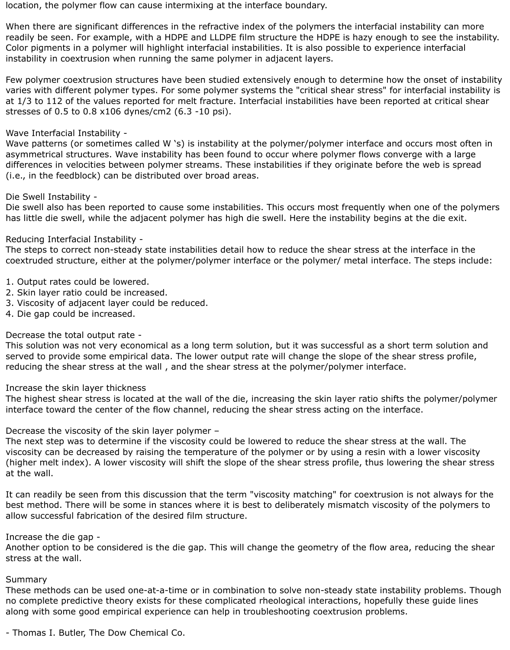location, the polymer flow can cause intermixing at the interface boundary.

When there are significant differences in the refractive index of the polymers the interfacial instability can more readily be seen. For example, with a HDPE and LLDPE film structure the HDPE is hazy enough to see the instability. Color pigments in a polymer will highlight interfacial instabilities. It is also possible to experience interfacial instability in coextrusion when running the same polymer in adjacent layers.

Few polymer coextrusion structures have been studied extensively enough to determine how the onset of instability varies with different polymer types. For some polymer systems the "critical shear stress" for interfacial instability is at 1/3 to 112 of the values reported for melt fracture. Interfacial instabilities have been reported at critical shear stresses of 0.5 to 0.8 x106 dynes/cm2 (6.3 -10 psi).

## Wave Interfacial Instability -

Wave patterns (or sometimes called W 's) is instability at the polymer/polymer interface and occurs most often in asymmetrical structures. Wave instability has been found to occur where polymer flows converge with a large differences in velocities between polymer streams. These instabilities if they originate before the web is spread (i.e., in the feedblock) can be distributed over broad areas.

### Die Swell Instability -

Die swell also has been reported to cause some instabilities. This occurs most frequently when one of the polymers has little die swell, while the adjacent polymer has high die swell. Here the instability begins at the die exit.

### Reducing Interfacial Instability -

The steps to correct non-steady state instabilities detail how to reduce the shear stress at the interface in the coextruded structure, either at the polymer/polymer interface or the polymer/ metal interface. The steps include:

- 1. Output rates could be lowered.
- 2. Skin layer ratio could be increased.
- 3. Viscosity of adjacent layer could be reduced.
- 4. Die gap could be increased.

## Decrease the total output rate -

This solution was not very economical as a long term solution, but it was successful as a short term solution and served to provide some empirical data. The lower output rate will change the slope of the shear stress profile, reducing the shear stress at the wall , and the shear stress at the polymer/polymer interface.

#### Increase the skin layer thickness

The highest shear stress is located at the wall of the die, increasing the skin layer ratio shifts the polymer/polymer interface toward the center of the flow channel, reducing the shear stress acting on the interface.

Decrease the viscosity of the skin layer polymer –

The next step was to determine if the viscosity could be lowered to reduce the shear stress at the wall. The viscosity can be decreased by raising the temperature of the polymer or by using a resin with a lower viscosity (higher melt index). A lower viscosity will shift the slope of the shear stress profile, thus lowering the shear stress at the wall.

It can readily be seen from this discussion that the term "viscosity matching" for coextrusion is not always for the best method. There will be some in stances where it is best to deliberately mismatch viscosity of the polymers to allow successful fabrication of the desired film structure.

#### Increase the die gap -

Another option to be considered is the die gap. This will change the geometry of the flow area, reducing the shear stress at the wall.

### Summary

These methods can be used one-at-a-time or in combination to solve non-steady state instability problems. Though no complete predictive theory exists for these complicated rheological interactions, hopefully these guide lines along with some good empirical experience can help in troubleshooting coextrusion problems.

- Thomas I. Butler, The Dow Chemical Co.